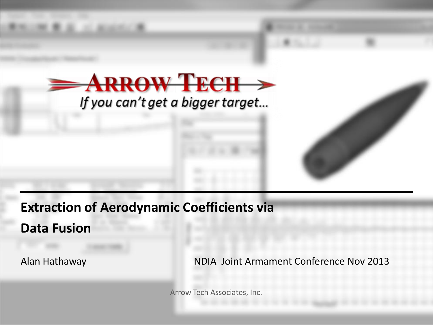

**Extraction of Aerodynamic Coefficients via**

**Data Fusion**

Alan Hathaway NDIA Joint Armament Conference Nov 2013

Arrow Tech Associates, Inc.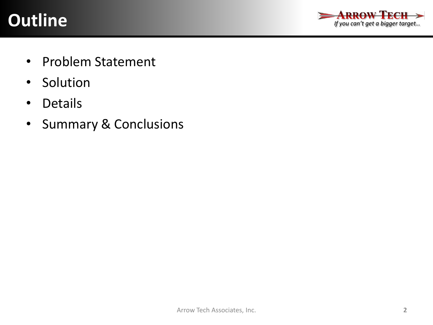# **Outline**



- Problem Statement
- Solution
- Details
- Summary & Conclusions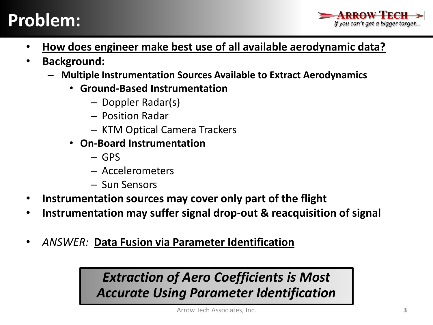

- **How does engineer make best use of all available aerodynamic data?**
- **Background:**
	- **Multiple Instrumentation Sources Available to Extract Aerodynamics**
		- **Ground-Based Instrumentation**
			- Doppler Radar(s)
			- Position Radar
			- KTM Optical Camera Trackers
		- **On-Board Instrumentation**
			- GPS
			- Accelerometers
			- Sun Sensors
- **Instrumentation sources may cover only part of the flight**
- **Instrumentation may suffer signal drop-out & reacquisition of signal**
- *ANSWER:* **Data Fusion via Parameter Identification**

## *Extraction of Aero Coefficients is Most Accurate Using Parameter Identification*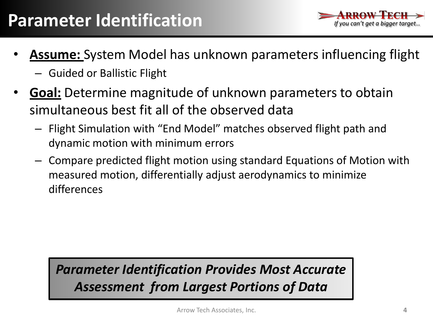

- **Assume:** System Model has unknown parameters influencing flight
	- Guided or Ballistic Flight
- **Goal:** Determine magnitude of unknown parameters to obtain simultaneous best fit all of the observed data
	- Flight Simulation with "End Model" matches observed flight path and dynamic motion with minimum errors
	- Compare predicted flight motion using standard Equations of Motion with measured motion, differentially adjust aerodynamics to minimize differences

## *Parameter Identification Provides Most Accurate Assessment from Largest Portions of Data*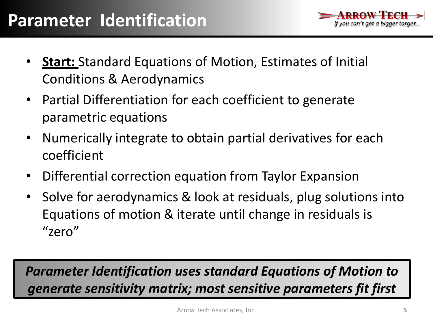

- **Start:** Standard Equations of Motion, Estimates of Initial Conditions & Aerodynamics
- Partial Differentiation for each coefficient to generate parametric equations
- Numerically integrate to obtain partial derivatives for each coefficient
- Differential correction equation from Taylor Expansion
- Solve for aerodynamics & look at residuals, plug solutions into Equations of motion & iterate until change in residuals is "zero"

*Parameter Identification uses standard Equations of Motion to generate sensitivity matrix; most sensitive parameters fit first*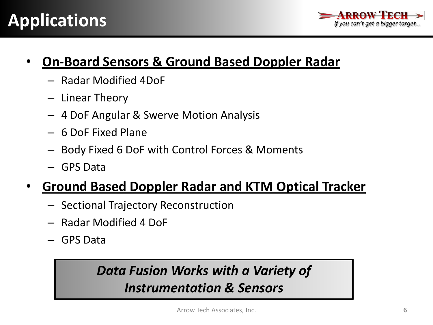

#### • **On-Board Sensors & Ground Based Doppler Radar**

- Radar Modified 4DoF
- Linear Theory
- 4 DoF Angular & Swerve Motion Analysis
- 6 DoF Fixed Plane
- Body Fixed 6 DoF with Control Forces & Moments
- GPS Data

## • **Ground Based Doppler Radar and KTM Optical Tracker**

- Sectional Trajectory Reconstruction
- Radar Modified 4 DoF
- GPS Data

## *Data Fusion Works with a Variety of Instrumentation & Sensors*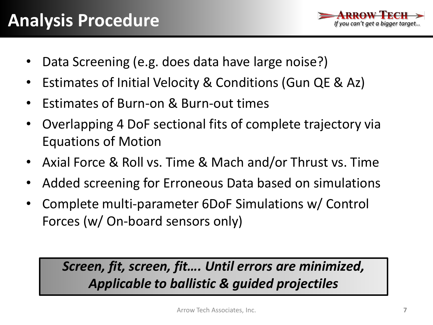

- Data Screening (e.g. does data have large noise?)
- Estimates of Initial Velocity & Conditions (Gun QE & Az)
- Estimates of Burn-on & Burn-out times
- Overlapping 4 DoF sectional fits of complete trajectory via Equations of Motion
- Axial Force & Roll vs. Time & Mach and/or Thrust vs. Time
- Added screening for Erroneous Data based on simulations
- Complete multi-parameter 6DoF Simulations w/ Control Forces (w/ On-board sensors only)

*Screen, fit, screen, fit…. Until errors are minimized, Applicable to ballistic & guided projectiles*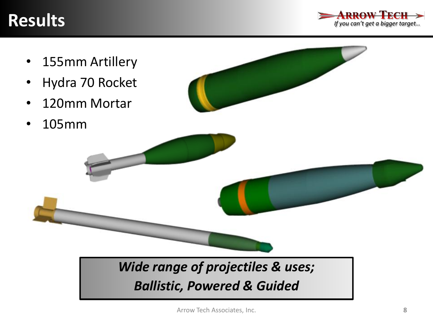# **Results**



- 155mm Artillery
- Hydra 70 Rocket
- 120mm Mortar
- 105mm



## *Wide range of projectiles & uses; Ballistic, Powered & Guided*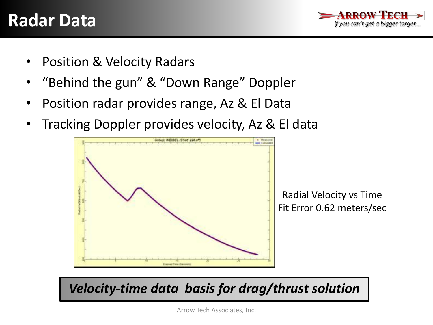

- Position & Velocity Radars
- "Behind the gun" & "Down Range" Doppler
- Position radar provides range, Az & El Data
- Tracking Doppler provides velocity, Az & El data



*Velocity-time data basis for drag/thrust solution*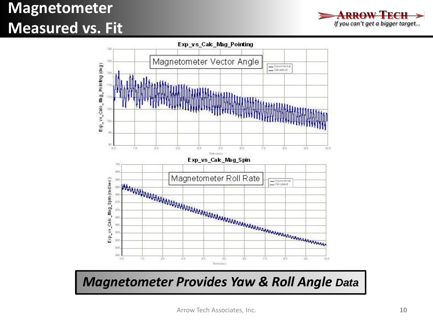# **Magnetometer Measured vs. Fit**





#### *Magnetometer Provides Yaw & Roll Angle Data*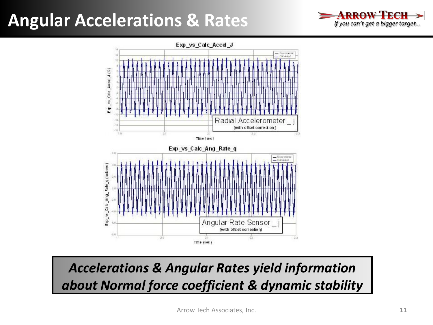# **Angular Accelerations & Rates**





*Accelerations & Angular Rates yield information about Normal force coefficient & dynamic stability*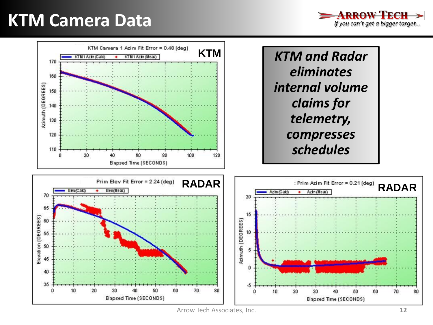# **KTM Camera Data**